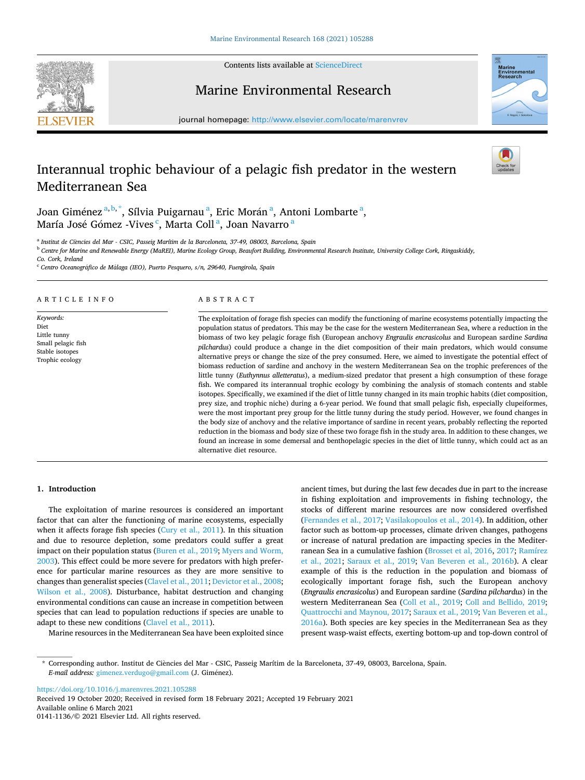Contents lists available at [ScienceDirect](www.sciencedirect.com/science/journal/01411136)





Marine Environmental Research

journal homepage: [http://www.elsevier.com/locate/marenvrev](https://http://www.elsevier.com/locate/marenvrev)

# Interannual trophic behaviour of a pelagic fish predator in the western Mediterranean Sea



Joan Giménez $^{\mathrm{a,b,*}},$  Sílvia Puigarnau $^{\mathrm{a}},$  Eric Morán $^{\mathrm{a}},$  Antoni Lombarte $^{\mathrm{a}},$ María José Gómez -Vives  $\lq$ , Marta Coll  $\sp{a}$ , Joan Navarro  $\sp{a}$ 

<sup>a</sup> Institut de Ciències del Mar - CSIC, Passeig Marítim de la Barceloneta, 37-49, 08003, Barcelona, Spain

<sup>b</sup> *Centre for Marine and Renewable Energy (MaREI), Marine Ecology Group, Beaufort Building, Environmental Research Institute, University College Cork, Ringaskiddy,* 

*Co. Cork, Ireland* 

<sup>c</sup> Centro Oceanográfico de Málaga (IEO), Puerto Pesquero, s/n, 29640, Fuengirola, Spain

## ARTICLE INFO

*Keywords:*  Diet Little tunny Small pelagic fish Stable isotopes Trophic ecology

## ABSTRACT

The exploitation of forage fish species can modify the functioning of marine ecosystems potentially impacting the population status of predators. This may be the case for the western Mediterranean Sea, where a reduction in the biomass of two key pelagic forage fish (European anchovy *Engraulis encrasicolus* and European sardine *Sardina pilchardus*) could produce a change in the diet composition of their main predators, which would consume alternative preys or change the size of the prey consumed. Here, we aimed to investigate the potential effect of biomass reduction of sardine and anchovy in the western Mediterranean Sea on the trophic preferences of the little tunny (*Euthynnus alletteratus*), a medium-sized predator that present a high consumption of these forage fish. We compared its interannual trophic ecology by combining the analysis of stomach contents and stable isotopes. Specifically, we examined if the diet of little tunny changed in its main trophic habits (diet composition, prey size, and trophic niche) during a 6-year period. We found that small pelagic fish, especially clupeiformes, were the most important prey group for the little tunny during the study period. However, we found changes in the body size of anchovy and the relative importance of sardine in recent years, probably reflecting the reported reduction in the biomass and body size of these two forage fish in the study area. In addition to these changes, we found an increase in some demersal and benthopelagic species in the diet of little tunny, which could act as an alternative diet resource.

#### **1. Introduction**

The exploitation of marine resources is considered an important factor that can alter the functioning of marine ecosystems, especially when it affects forage fish species ([Cury et al., 2011](#page-6-0)). In this situation and due to resource depletion, some predators could suffer a great impact on their population status [\(Buren et al., 2019;](#page-6-0) [Myers and Worm,](#page-7-0)  [2003\)](#page-7-0). This effect could be more severe for predators with high preference for particular marine resources as they are more sensitive to changes than generalist species [\(Clavel et al., 2011](#page-6-0); [Devictor et al., 2008](#page-6-0); [Wilson et al., 2008](#page-7-0)). Disturbance, habitat destruction and changing environmental conditions can cause an increase in competition between species that can lead to population reductions if species are unable to adapt to these new conditions ([Clavel et al., 2011](#page-6-0)).

Marine resources in the Mediterranean Sea have been exploited since

ancient times, but during the last few decades due in part to the increase in fishing exploitation and improvements in fishing technology, the stocks of different marine resources are now considered overfished ([Fernandes et al., 2017;](#page-6-0) [Vasilakopoulos et al., 2014](#page-7-0)). In addition, other factor such as bottom-up processes, climate driven changes, pathogens or increase of natural predation are impacting species in the Mediterranean Sea in a cumulative fashion ([Brosset et al, 2016](#page-6-0), [2017;](#page-6-0) [Ramírez](#page-7-0)  [et al., 2021](#page-7-0); [Saraux et al., 2019](#page-7-0); [Van Beveren et al., 2016b](#page-7-0)). A clear example of this is the reduction in the population and biomass of ecologically important forage fish, such the European anchovy (*Engraulis encrasicolus*) and European sardine (*Sardina pilchardus*) in the western Mediterranean Sea [\(Coll et al., 2019;](#page-6-0) [Coll and Bellido, 2019](#page-6-0); [Quattrocchi and Maynou, 2017; Saraux et al., 2019](#page-7-0); [Van Beveren et al.,](#page-7-0)  [2016a\)](#page-7-0). Both species are key species in the Mediterranean Sea as they present wasp-waist effects, exerting bottom-up and top-down control of

<https://doi.org/10.1016/j.marenvres.2021.105288>

Available online 6 March 2021 0141-1136/© 2021 Elsevier Ltd. All rights reserved. Received 19 October 2020; Received in revised form 18 February 2021; Accepted 19 February 2021

<sup>\*</sup> Corresponding author. Institut de Ci`encies del Mar - CSIC, Passeig Marítim de la Barceloneta, 37-49, 08003, Barcelona, Spain. *E-mail address: [gimenez.verdugo@gmail.com](mailto:gimenez.verdugo@gmail.com) (J. Giménez).*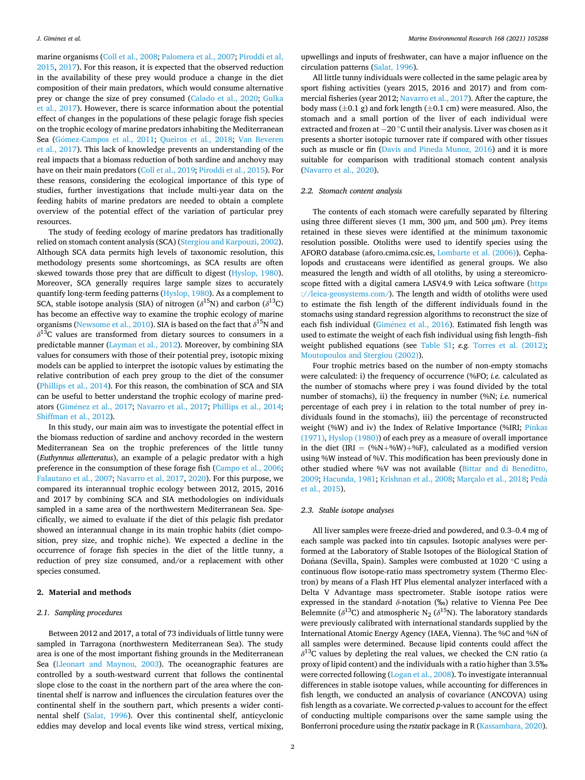marine organisms [\(Coll et al., 2008;](#page-6-0) [Palomera et al., 2007](#page-7-0); [Piroddi et al,](#page-7-0)  [2015, 2017](#page-7-0)). For this reason, it is expected that the observed reduction in the availability of these prey would produce a change in the diet composition of their main predators, which would consume alternative prey or change the size of prey consumed [\(Calado et al., 2020;](#page-6-0) [Gulka](#page-6-0)  [et al., 2017](#page-6-0)). However, there is scarce information about the potential effect of changes in the populations of these pelagic forage fish species on the trophic ecology of marine predators inhabiting the Mediterranean Sea (Gómez-Campos et al., 2011; [Queiros et al., 2018;](#page-7-0) Van Beveren [et al., 2017](#page-7-0)). This lack of knowledge prevents an understanding of the real impacts that a biomass reduction of both sardine and anchovy may have on their main predators [\(Coll et al., 2019;](#page-6-0) [Piroddi et al., 2015\)](#page-7-0). For these reasons, considering the ecological importance of this type of studies, further investigations that include multi-year data on the feeding habits of marine predators are needed to obtain a complete overview of the potential effect of the variation of particular prey resources.

The study of feeding ecology of marine predators has traditionally relied on stomach content analysis (SCA) [\(Stergiou and Karpouzi, 2002](#page-7-0)). Although SCA data permits high levels of taxonomic resolution, this methodology presents some shortcomings, as SCA results are often skewed towards those prey that are difficult to digest ([Hyslop, 1980](#page-6-0)). Moreover, SCA generally requires large sample sizes to accurately quantify long-term feeding patterns ([Hyslop, 1980\)](#page-6-0). As a complement to SCA, stable isotope analysis (SIA) of nitrogen ( $\delta^{15}$ N) and carbon ( $\delta^{13}$ C) has become an effective way to examine the trophic ecology of marine organisms [\(Newsome et al., 2010](#page-7-0)). SIA is based on the fact that  $\delta^{15}N$  and  $\delta^{13}$ C values are transformed from dietary sources to consumers in a predictable manner [\(Layman et al., 2012\)](#page-7-0). Moreover, by combining SIA values for consumers with those of their potential prey, isotopic mixing models can be applied to interpret the isotopic values by estimating the relative contribution of each prey group to the diet of the consumer ([Phillips et al., 2014\)](#page-7-0). For this reason, the combination of SCA and SIA can be useful to better understand the trophic ecology of marine pred-ators (Giménez et al., 2017; [Navarro et al., 2017;](#page-7-0) [Phillips et al., 2014](#page-7-0); [Shiffman et al., 2012\)](#page-7-0).

In this study, our main aim was to investigate the potential effect in the biomass reduction of sardine and anchovy recorded in the western Mediterranean Sea on the trophic preferences of the little tunny (*Euthynnus alletteratus*), an example of a pelagic predator with a high preference in the consumption of these forage fish ([Campo et al., 2006](#page-6-0); [Falautano et al., 2007;](#page-6-0) [Navarro et al, 2017](#page-7-0), [2020\)](#page-7-0). For this purpose, we compared its interannual trophic ecology between 2012, 2015, 2016 and 2017 by combining SCA and SIA methodologies on individuals sampled in a same area of the northwestern Mediterranean Sea. Specifically, we aimed to evaluate if the diet of this pelagic fish predator showed an interannual change in its main trophic habits (diet composition, prey size, and trophic niche). We expected a decline in the occurrence of forage fish species in the diet of the little tunny, a reduction of prey size consumed, and/or a replacement with other species consumed.

#### **2. Material and methods**

#### *2.1. Sampling procedures*

Between 2012 and 2017, a total of 73 individuals of little tunny were sampled in Tarragona (northwestern Mediterranean Sea). The study area is one of the most important fishing grounds in the Mediterranean Sea [\(Lleonart and Maynou, 2003\)](#page-7-0). The oceanographic features are controlled by a south-westward current that follows the continental slope close to the coast in the northern part of the area where the continental shelf is narrow and influences the circulation features over the continental shelf in the southern part, which presents a wider continental shelf [\(Salat, 1996](#page-7-0)). Over this continental shelf, anticyclonic eddies may develop and local events like wind stress, vertical mixing,

upwellings and inputs of freshwater, can have a major influence on the circulation patterns ([Salat, 1996\)](#page-7-0).

All little tunny individuals were collected in the same pelagic area by sport fishing activities (years 2015, 2016 and 2017) and from commercial fisheries (year 2012; [Navarro et al., 2017\)](#page-7-0). After the capture, the body mass ( $\pm$ 0.1 g) and fork length ( $\pm$ 0.1 cm) were measured. Also, the stomach and a small portion of the liver of each individual were extracted and frozen at − 20 ◦C until their analysis. Liver was chosen as it presents a shorter isotopic turnover rate if compared with other tissues such as muscle or fin ([Davis and Pineda Munoz, 2016](#page-6-0)) and it is more suitable for comparison with traditional stomach content analysis ([Navarro et al., 2020\)](#page-7-0).

#### *2.2. Stomach content analysis*

The contents of each stomach were carefully separated by filtering using three different sieves (1 mm, 300 μm, and 500 μm). Prey items retained in these sieves were identified at the minimum taxonomic resolution possible. Otoliths were used to identify species using the AFORO database (aforo.cmima.csic.es, [Lombarte et al. \(2006\)](#page-7-0)). Cephalopods and crustaceans were identified as general groups. We also measured the length and width of all otoliths, by using a stereomicroscope fitted with a digital camera LASV4.9 with Leica software [\(https](https://leica-geosystems.com/)  [://leica-geosystems.com/](https://leica-geosystems.com/)). The length and width of otoliths were used to estimate the fish length of the different individuals found in the stomachs using standard regression algorithms to reconstruct the size of each fish individual (Giménez et al., 2016). Estimated fish length was used to estimate the weight of each fish individual using fish length–fish weight published equations (see Table S1; *e.g.* [Torres et al. \(2012\)](#page-7-0); [Moutopoulos and Stergiou \(2002\)](#page-7-0)).

Four trophic metrics based on the number of non-empty stomachs were calculated: i) the frequency of occurrence (%FO; *i.e.* calculated as the number of stomachs where prey i was found divided by the total number of stomachs), ii) the frequency in number (%N; *i.e.* numerical percentage of each prey i in relation to the total number of prey individuals found in the stomachs), iii) the percentage of reconstructed weight (%W) and iv) the Index of Relative Importance (%IRI; [Pinkas](#page-7-0)  [\(1971\),](#page-7-0) [Hyslop \(1980\)](#page-6-0)) of each prey as a measure of overall importance in the diet (IRI =  $(\%N+\%W)+\%F$ ), calculated as a modified version using %W instead of %V. This modification has been previously done in other studied where %V was not available ([Bittar and di Beneditto,](#page-6-0)  [2009; Hacunda, 1981;](#page-6-0) [Krishnan et al., 2008; Marçalo et al., 2018](#page-7-0); [Peda](#page-7-0) ` [et al., 2015\)](#page-7-0).

## *2.3. Stable isotope analyses*

All liver samples were freeze-dried and powdered, and 0.3–0.4 mg of each sample was packed into tin capsules. Isotopic analyses were performed at the Laboratory of Stable Isotopes of the Biological Station of Doñana (Sevilla, Spain). Samples were combusted at 1020 ℃ using a continuous flow isotope-ratio mass spectrometry system (Thermo Electron) by means of a Flash HT Plus elemental analyzer interfaced with a Delta V Advantage mass spectrometer. Stable isotope ratios were expressed in the standard *δ*-notation (‰) relative to Vienna Pee Dee Belemnite ( $\delta^{13}$ C) and atmospheric N<sub>2</sub> ( $\delta^{15}$ N). The laboratory standards were previously calibrated with international standards supplied by the International Atomic Energy Agency (IAEA, Vienna). The %C and %N of all samples were determined. Because lipid contents could affect the *δ*13C values by depleting the real values, we checked the C:N ratio (a proxy of lipid content) and the individuals with a ratio higher than 3.5‰ were corrected following ([Logan et al., 2008\)](#page-7-0). To investigate interannual differences in stable isotope values, while accounting for differences in fish length, we conducted an analysis of covariance (ANCOVA) using fish length as a covariate. We corrected *p*-values to account for the effect of conducting multiple comparisons over the same sample using the Bonferroni procedure using the *rstatix* package in R ([Kassambara, 2020](#page-6-0)).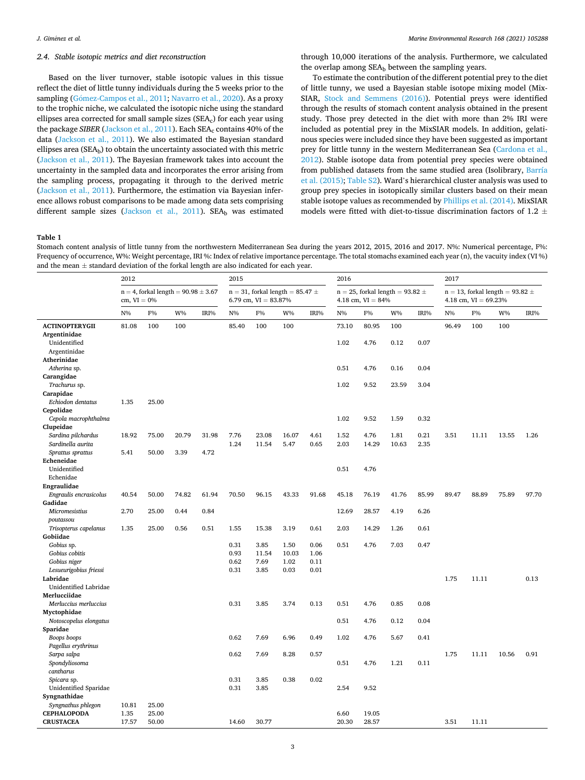### <span id="page-2-0"></span>*2.4. Stable isotopic metrics and diet reconstruction*

*Marine Environmental Research 168 (2021) 105288*

through 10,000 iterations of the analysis. Furthermore, we calculated the overlap among  $SEA_b$  between the sampling years.

# Based on the liver turnover, stable isotopic values in this tissue reflect the diet of little tunny individuals during the 5 weeks prior to the sampling (Gómez-Campos et al., 2011; [Navarro et al., 2020\)](#page-7-0). As a proxy to the trophic niche, we calculated the isotopic niche using the standard ellipses area corrected for small sample sizes (SEAc) for each year using the package *SIBER* ([Jackson et al., 2011](#page-6-0)). Each SEA<sub>c</sub> contains 40% of the data [\(Jackson et al., 2011](#page-6-0)). We also estimated the Bayesian standard ellipses area ( $\text{SEA}_b$ ) to obtain the uncertainty associated with this metric ([Jackson et al., 2011\)](#page-6-0). The Bayesian framework takes into account the uncertainty in the sampled data and incorporates the error arising from the sampling process, propagating it through to the derived metric ([Jackson et al., 2011\)](#page-6-0). Furthermore, the estimation via Bayesian inference allows robust comparisons to be made among data sets comprising different sample sizes [\(Jackson et al., 2011](#page-6-0)). SEA<sub>b</sub> was estimated

To estimate the contribution of the different potential prey to the diet of little tunny, we used a Bayesian stable isotope mixing model (Mix-SIAR, [Stock and Semmens \(2016\)](#page-7-0)). Potential preys were identified through the results of stomach content analysis obtained in the present study. Those prey detected in the diet with more than 2% IRI were included as potential prey in the MixSIAR models. In addition, gelatinous species were included since they have been suggested as important prey for little tunny in the western Mediterranean Sea [\(Cardona et al.,](#page-6-0)  [2012\)](#page-6-0). Stable isotope data from potential prey species were obtained from published datasets from the same studied area (Isolibrary, [Barría](#page-6-0)  [et al. \(2015\);](#page-6-0) Table S2). Ward's hierarchical cluster analysis was used to group prey species in isotopically similar clusters based on their mean stable isotope values as recommended by [Phillips et al. \(2014\).](#page-7-0) MixSIAR models were fitted with diet-to-tissue discrimination factors of 1.2  $\pm$ 

## **Table 1**

Stomach content analysis of little tunny from the northwestern Mediterranean Sea during the years 2012, 2015, 2016 and 2017. N%: Numerical percentage, F%: Frequency of occurrence, W%: Weight percentage, IRI %: Index of relative importance percentage. The total stomachs examined each year (n), the vacuity index (VI %) and the mean  $\pm$  standard deviation of the forkal length are also indicated for each year.

|                                   | 2012<br>$n = 4$ , forkal length = 90.98 $\pm$ 3.67<br>cm, $VI = 0\%$ |             |       | 2015<br>$n = 31$ , forkal length = 85.47 $\pm$<br>6.79 cm, $VI = 83.87\%$ |       |       | 2016                                                           |       |       |       | 2017<br>$n = 13$ , forkal length = 93.82 $\pm$<br>4.18 cm, $VI = 69.23\%$ |       |       |             |       |       |
|-----------------------------------|----------------------------------------------------------------------|-------------|-------|---------------------------------------------------------------------------|-------|-------|----------------------------------------------------------------|-------|-------|-------|---------------------------------------------------------------------------|-------|-------|-------------|-------|-------|
|                                   |                                                                      |             |       |                                                                           |       |       | $n = 25$ , forkal length = 93.82 $\pm$<br>4.18 cm, $VI = 84\%$ |       |       |       |                                                                           |       |       |             |       |       |
|                                   | N%                                                                   | ${\rm F}\%$ | W%    | IRI%                                                                      | $N\%$ | F%    | W%                                                             | IRI%  | $N\%$ | F%    | W%                                                                        | IRI%  | $N\%$ | ${\rm F}\%$ | W%    | IRI%  |
| <b>ACTINOPTERYGII</b>             | 81.08                                                                | 100         | 100   |                                                                           | 85.40 | 100   | 100                                                            |       | 73.10 | 80.95 | 100                                                                       |       | 96.49 | 100         | 100   |       |
| Argentinidae                      |                                                                      |             |       |                                                                           |       |       |                                                                |       |       |       |                                                                           |       |       |             |       |       |
| Unidentified                      |                                                                      |             |       |                                                                           |       |       |                                                                |       | 1.02  | 4.76  | 0.12                                                                      | 0.07  |       |             |       |       |
| Argentinidae                      |                                                                      |             |       |                                                                           |       |       |                                                                |       |       |       |                                                                           |       |       |             |       |       |
| Atherinidae                       |                                                                      |             |       |                                                                           |       |       |                                                                |       |       |       |                                                                           |       |       |             |       |       |
| Atherina sp.                      |                                                                      |             |       |                                                                           |       |       |                                                                |       | 0.51  | 4.76  | 0.16                                                                      | 0.04  |       |             |       |       |
| Carangidae                        |                                                                      |             |       |                                                                           |       |       |                                                                |       |       |       |                                                                           |       |       |             |       |       |
| Trachurus sp.<br>Carapidae        |                                                                      |             |       |                                                                           |       |       |                                                                |       | 1.02  | 9.52  | 23.59                                                                     | 3.04  |       |             |       |       |
| Echiodon dentatus                 | 1.35                                                                 | 25.00       |       |                                                                           |       |       |                                                                |       |       |       |                                                                           |       |       |             |       |       |
| Cepolidae                         |                                                                      |             |       |                                                                           |       |       |                                                                |       |       |       |                                                                           |       |       |             |       |       |
| Cepola macrophthalma              |                                                                      |             |       |                                                                           |       |       |                                                                |       | 1.02  | 9.52  | 1.59                                                                      | 0.32  |       |             |       |       |
| Clupeidae                         |                                                                      |             |       |                                                                           |       |       |                                                                |       |       |       |                                                                           |       |       |             |       |       |
| Sardina pilchardus                | 18.92                                                                | 75.00       | 20.79 | 31.98                                                                     | 7.76  | 23.08 | 16.07                                                          | 4.61  | 1.52  | 4.76  | 1.81                                                                      | 0.21  | 3.51  | 11.11       | 13.55 | 1.26  |
| Sardinella aurita                 |                                                                      |             |       |                                                                           | 1.24  | 11.54 | 5.47                                                           | 0.65  | 2.03  | 14.29 | 10.63                                                                     | 2.35  |       |             |       |       |
| Sprattus sprattus                 | 5.41                                                                 | 50.00       | 3.39  | 4.72                                                                      |       |       |                                                                |       |       |       |                                                                           |       |       |             |       |       |
| Echeneidae                        |                                                                      |             |       |                                                                           |       |       |                                                                |       |       |       |                                                                           |       |       |             |       |       |
| Unidentified                      |                                                                      |             |       |                                                                           |       |       |                                                                |       | 0.51  | 4.76  |                                                                           |       |       |             |       |       |
| Echenidae                         |                                                                      |             |       |                                                                           |       |       |                                                                |       |       |       |                                                                           |       |       |             |       |       |
| Engraulidae                       |                                                                      |             |       |                                                                           |       |       |                                                                |       |       |       |                                                                           |       |       |             |       |       |
| Engraulis encrasicolus            | 40.54                                                                | 50.00       | 74.82 | 61.94                                                                     | 70.50 | 96.15 | 43.33                                                          | 91.68 | 45.18 | 76.19 | 41.76                                                                     | 85.99 | 89.47 | 88.89       | 75.89 | 97.70 |
| Gadidae                           |                                                                      |             |       |                                                                           |       |       |                                                                |       |       |       |                                                                           |       |       |             |       |       |
| Micromesistius                    | 2.70                                                                 | 25.00       | 0.44  | 0.84                                                                      |       |       |                                                                |       | 12.69 | 28.57 | 4.19                                                                      | 6.26  |       |             |       |       |
| poutassou                         |                                                                      |             |       |                                                                           |       |       |                                                                |       |       |       |                                                                           |       |       |             |       |       |
| Trisopterus capelanus<br>Gobiidae | 1.35                                                                 | 25.00       | 0.56  | 0.51                                                                      | 1.55  | 15.38 | 3.19                                                           | 0.61  | 2.03  | 14.29 | 1.26                                                                      | 0.61  |       |             |       |       |
| Gobius sp.                        |                                                                      |             |       |                                                                           | 0.31  | 3.85  | 1.50                                                           | 0.06  | 0.51  | 4.76  | 7.03                                                                      | 0.47  |       |             |       |       |
| Gobius cobitis                    |                                                                      |             |       |                                                                           | 0.93  | 11.54 | 10.03                                                          | 1.06  |       |       |                                                                           |       |       |             |       |       |
| Gobius niger                      |                                                                      |             |       |                                                                           | 0.62  | 7.69  | 1.02                                                           | 0.11  |       |       |                                                                           |       |       |             |       |       |
| Lesueurigobius friessi            |                                                                      |             |       |                                                                           | 0.31  | 3.85  | 0.03                                                           | 0.01  |       |       |                                                                           |       |       |             |       |       |
| Labridae                          |                                                                      |             |       |                                                                           |       |       |                                                                |       |       |       |                                                                           |       | 1.75  | 11.11       |       | 0.13  |
| Unidentified Labridae             |                                                                      |             |       |                                                                           |       |       |                                                                |       |       |       |                                                                           |       |       |             |       |       |
| Merlucciidae                      |                                                                      |             |       |                                                                           |       |       |                                                                |       |       |       |                                                                           |       |       |             |       |       |
| Merluccius merluccius             |                                                                      |             |       |                                                                           | 0.31  | 3.85  | 3.74                                                           | 0.13  | 0.51  | 4.76  | 0.85                                                                      | 0.08  |       |             |       |       |
| Myctophidae                       |                                                                      |             |       |                                                                           |       |       |                                                                |       |       |       |                                                                           |       |       |             |       |       |
| Notoscopelus elongatus            |                                                                      |             |       |                                                                           |       |       |                                                                |       | 0.51  | 4.76  | 0.12                                                                      | 0.04  |       |             |       |       |
| Sparidae                          |                                                                      |             |       |                                                                           |       |       |                                                                |       |       |       |                                                                           |       |       |             |       |       |
| Boops boops                       |                                                                      |             |       |                                                                           | 0.62  | 7.69  | 6.96                                                           | 0.49  | 1.02  | 4.76  | 5.67                                                                      | 0.41  |       |             |       |       |
| Pagellus erythrinus               |                                                                      |             |       |                                                                           |       |       |                                                                |       |       |       |                                                                           |       |       |             |       |       |
| Sarpa salpa                       |                                                                      |             |       |                                                                           | 0.62  | 7.69  | 8.28                                                           | 0.57  | 0.51  |       | 1.21                                                                      | 0.11  | 1.75  | 11.11       | 10.56 | 0.91  |
| Spondyliosoma<br>cantharus        |                                                                      |             |       |                                                                           |       |       |                                                                |       |       | 4.76  |                                                                           |       |       |             |       |       |
| Spicara sp.                       |                                                                      |             |       |                                                                           | 0.31  | 3.85  | 0.38                                                           | 0.02  |       |       |                                                                           |       |       |             |       |       |
| Unidentified Sparidae             |                                                                      |             |       |                                                                           | 0.31  | 3.85  |                                                                |       | 2.54  | 9.52  |                                                                           |       |       |             |       |       |
| Syngnathidae                      |                                                                      |             |       |                                                                           |       |       |                                                                |       |       |       |                                                                           |       |       |             |       |       |
| Syngnathus phlegon                | 10.81                                                                | 25.00       |       |                                                                           |       |       |                                                                |       |       |       |                                                                           |       |       |             |       |       |
| <b>CEPHALOPODA</b>                | 1.35                                                                 | 25.00       |       |                                                                           |       |       |                                                                |       | 6.60  | 19.05 |                                                                           |       |       |             |       |       |
| <b>CRUSTACEA</b>                  | 17.57                                                                | 50.00       |       |                                                                           | 14.60 | 30.77 |                                                                |       | 20.30 | 28.57 |                                                                           |       | 3.51  | 11.11       |       |       |
|                                   |                                                                      |             |       |                                                                           |       |       |                                                                |       |       |       |                                                                           |       |       |             |       |       |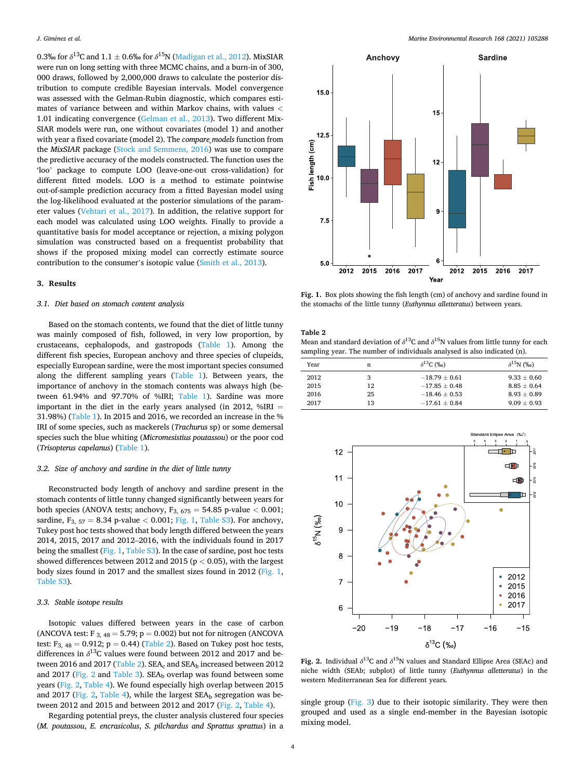0.3‰ for  $\delta^{13}C$  and  $1.1 \pm 0.6$ ‰ for  $\delta^{15}N$  ([Madigan et al., 2012\)](#page-7-0). MixSIAR were run on long setting with three MCMC chains, and a burn-in of 300, 000 draws, followed by 2,000,000 draws to calculate the posterior distribution to compute credible Bayesian intervals. Model convergence was assessed with the Gelman-Rubin diagnostic, which compares estimates of variance between and within Markov chains, with values *<* 1.01 indicating convergence ([Gelman et al., 2013\)](#page-6-0). Two different Mix-SIAR models were run, one without covariates (model 1) and another with year a fixed covariate (model 2). The *compare\_models* function from the *MixSIAR* package ([Stock and Semmens, 2016](#page-7-0)) was use to compare the predictive accuracy of the models constructed. The function uses the 'loo' package to compute LOO (leave-one-out cross-validation) for different fitted models. LOO is a method to estimate pointwise out-of-sample prediction accuracy from a fitted Bayesian model using the log-likelihood evaluated at the posterior simulations of the parameter values [\(Vehtari et al., 2017\)](#page-7-0). In addition, the relative support for each model was calculated using LOO weights. Finally to provide a quantitative basis for model acceptance or rejection, a mixing polygon simulation was constructed based on a frequentist probability that shows if the proposed mixing model can correctly estimate source contribution to the consumer's isotopic value [\(Smith et al., 2013\)](#page-7-0).

#### **3. Results**

#### *3.1. Diet based on stomach content analysis*

Based on the stomach contents, we found that the diet of little tunny was mainly composed of fish, followed, in very low proportion, by crustaceans, cephalopods, and gastropods ([Table 1\)](#page-2-0). Among the different fish species, European anchovy and three species of clupeids, especially European sardine, were the most important species consumed along the different sampling years [\(Table 1](#page-2-0)). Between years, the importance of anchovy in the stomach contents was always high (between 61.94% and 97.70% of %IRI; [Table 1\)](#page-2-0). Sardine was more important in the diet in the early years analysed (in 2012,  $\%$ IRI = 31.98%) ([Table 1\)](#page-2-0). In 2015 and 2016, we recorded an increase in the % IRI of some species, such as mackerels (*Trachurus* sp) or some demersal species such the blue whiting (*Micromesistius poutassou*) or the poor cod (*Trisopterus capelanus*) ([Table 1](#page-2-0)).

#### *3.2. Size of anchovy and sardine in the diet of little tunny*

Reconstructed body length of anchovy and sardine present in the stomach contents of little tunny changed significantly between years for both species (ANOVA tests; anchovy, F3, 675 = 54.85 p-value *<* 0.001; sardine, F3, 57 = 8.34 p-value *<* 0.001; Fig. 1, Table S3). For anchovy, Tukey post hoc tests showed that body length differed between the years 2014, 2015, 2017 and 2012–2016, with the individuals found in 2017 being the smallest (Fig. 1, Table S3). In the case of sardine, post hoc tests showed differences between 2012 and 2015 (p *<* 0.05), with the largest body sizes found in 2017 and the smallest sizes found in 2012 (Fig. 1, Table S3).

#### *3.3. Stable isotope results*

Isotopic values differed between years in the case of carbon (ANCOVA test: F  $_{3,48}$  = 5.79; p = 0.002) but not for nitrogen (ANCOVA test:  $F_{3, 48} = 0.912$ ;  $p = 0.44$ ) (Table 2). Based on Tukey post hoc tests, differences in  $\delta^{13}$ C values were found between 2012 and 2017 and between 2016 and 2017 (Table 2).  $SEA_c$  and  $SEA_b$  increased between 2012 and 2017 (Fig. 2 and [Table 3](#page-4-0)).  $SEA<sub>b</sub>$  overlap was found between some years (Fig. 2, [Table 4\)](#page-4-0). We found especially high overlap between 2015 and 2017 (Fig. 2, [Table 4\)](#page-4-0), while the largest  $SEA<sub>b</sub>$  segregation was between 2012 and 2015 and between 2012 and 2017 (Fig. 2, [Table 4](#page-4-0)).

Regarding potential preys, the cluster analysis clustered four species (*M. poutassou*, *E. encrasicolus*, *S. pilchardus and Sprattus sprattus*) in a



**Fig. 1.** Box plots showing the fish length (cm) of anchovy and sardine found in the stomachs of the little tunny (*Euthynnus alletteratus*) between years.

#### **Table 2**

Mean and standard deviation of  $\delta^{13}$ C and  $\delta^{15}$ N values from little tunny for each sampling year. The number of individuals analysed is also indicated (n).

| Year | n  | $\delta^{13}$ C (‰) | $\delta^{15}$ N (‰) |
|------|----|---------------------|---------------------|
| 2012 | 3  | $-18.79 \pm 0.61$   | $9.33 \pm 0.60$     |
| 2015 | 12 | $-17.85 \pm 0.48$   | $8.85 + 0.64$       |
| 2016 | 25 | $-18.46 \pm 0.53$   | $8.93 + 0.89$       |
| 2017 | 13 | $-17.61 \pm 0.84$   | $9.09 + 0.93$       |



**Fig. 2.** Individual  $\delta^{13}$ C and  $\delta^{15}$ N values and Standard Ellipse Area (SEAc) and niche width (SEAb; subplot) of little tunny (*Euthynnus alletteratus*) in the western Mediterranean Sea for different years.

single group [\(Fig. 3](#page-4-0)) due to their isotopic similarity. They were then grouped and used as a single end-member in the Bayesian isotopic mixing model.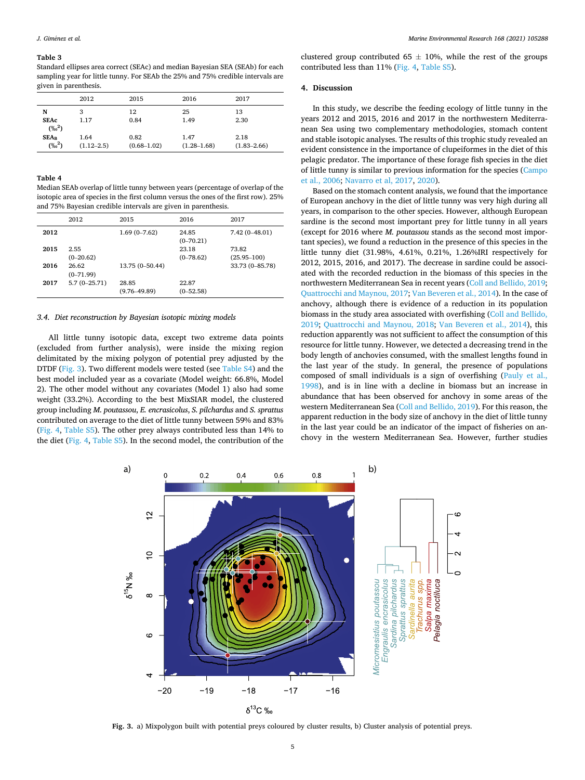#### <span id="page-4-0"></span>**Table 3**

Standard ellipses area correct (SEAc) and median Bayesian SEA (SEAb) for each sampling year for little tunny. For SEAb the 25% and 75% credible intervals are given in parenthesis.

|                         | 2012                   | 2015                    | 2016                    | 2017                    |
|-------------------------|------------------------|-------------------------|-------------------------|-------------------------|
| N                       | 3                      | 12                      | 25                      | 13                      |
| <b>SEAc</b><br>$(\%^2)$ | 1.17                   | 0.84                    | 1.49                    | 2.30                    |
| $SEA_B$<br>$(\%^2)$     | 1.64<br>$(1.12 - 2.5)$ | 0.82<br>$(0.68 - 1.02)$ | 1.47<br>$(1.28 - 1.68)$ | 2.18<br>$(1.83 - 2.66)$ |

#### **Table 4**

Median SEAb overlap of little tunny between years (percentage of overlap of the isotopic area of species in the first column versus the ones of the first row). 25% and 75% Bayesian credible intervals are given in parenthesis.

|      | 2012                 | 2015                      | 2016                   | 2017                     |
|------|----------------------|---------------------------|------------------------|--------------------------|
| 2012 |                      | $1.69(0 - 7.62)$          | 24.85<br>$(0-70.21)$   | $7.42(0 - 48.01)$        |
| 2015 | 2.55<br>$(0-20.62)$  |                           | 23.18<br>$(0 - 78.62)$ | 73.82<br>$(25.95 - 100)$ |
| 2016 | 26.62<br>$(0-71.99)$ | 13.75 (0-50.44)           |                        | 33.73 (0-85.78)          |
| 2017 | $5.7(0-25.71)$       | 28.85<br>$(9.76 - 49.89)$ | 22.87<br>$(0 - 52.58)$ |                          |

#### *3.4. Diet reconstruction by Bayesian isotopic mixing models*

All little tunny isotopic data, except two extreme data points (excluded from further analysis), were inside the mixing region delimitated by the mixing polygon of potential prey adjusted by the DTDF (Fig. 3). Two different models were tested (see Table S4) and the best model included year as a covariate (Model weight: 66.8%, Model 2). The other model without any covariates (Model 1) also had some weight (33.2%). According to the best MixSIAR model, the clustered group including *M. poutassou*, *E. encrasicolus*, *S. pilchardus* and *S. sprattus*  contributed on average to the diet of little tunny between 59% and 83% ([Fig. 4,](#page-5-0) Table S5). The other prey always contributed less than 14% to the diet [\(Fig. 4,](#page-5-0) Table S5). In the second model, the contribution of the clustered group contributed 65  $\pm$  10%, while the rest of the groups contributed less than 11% [\(Fig. 4](#page-5-0), Table S5).

#### **4. Discussion**

In this study, we describe the feeding ecology of little tunny in the years 2012 and 2015, 2016 and 2017 in the northwestern Mediterranean Sea using two complementary methodologies, stomach content and stable isotopic analyses. The results of this trophic study revealed an evident consistence in the importance of clupeiformes in the diet of this pelagic predator. The importance of these forage fish species in the diet of little tunny is similar to previous information for the species [\(Campo](#page-6-0)  [et al., 2006;](#page-6-0) [Navarro et al, 2017](#page-7-0), [2020](#page-7-0)).

Based on the stomach content analysis, we found that the importance of European anchovy in the diet of little tunny was very high during all years, in comparison to the other species. However, although European sardine is the second most important prey for little tunny in all years (except for 2016 where *M. poutassou* stands as the second most important species), we found a reduction in the presence of this species in the little tunny diet (31.98%, 4.61%, 0.21%, 1.26%IRI respectively for 2012, 2015, 2016, and 2017). The decrease in sardine could be associated with the recorded reduction in the biomass of this species in the northwestern Mediterranean Sea in recent years [\(Coll and Bellido, 2019](#page-6-0); [Quattrocchi and Maynou, 2017; Van Beveren et al., 2014\)](#page-7-0). In the case of anchovy, although there is evidence of a reduction in its population biomass in the study area associated with overfishing [\(Coll and Bellido,](#page-6-0)  [2019;](#page-6-0) [Quattrocchi and Maynou, 2018](#page-7-0); [Van Beveren et al., 2014\)](#page-7-0), this reduction apparently was not sufficient to affect the consumption of this resource for little tunny. However, we detected a decreasing trend in the body length of anchovies consumed, with the smallest lengths found in the last year of the study. In general, the presence of populations composed of small individuals is a sign of overfishing [\(Pauly et al.,](#page-7-0)  [1998\)](#page-7-0), and is in line with a decline in biomass but an increase in abundance that has been observed for anchovy in some areas of the western Mediterranean Sea [\(Coll and Bellido, 2019\)](#page-6-0). For this reason, the apparent reduction in the body size of anchovy in the diet of little tunny in the last year could be an indicator of the impact of fisheries on anchovy in the western Mediterranean Sea. However, further studies



**Fig. 3.** a) Mixpolygon built with potential preys coloured by cluster results, b) Cluster analysis of potential preys.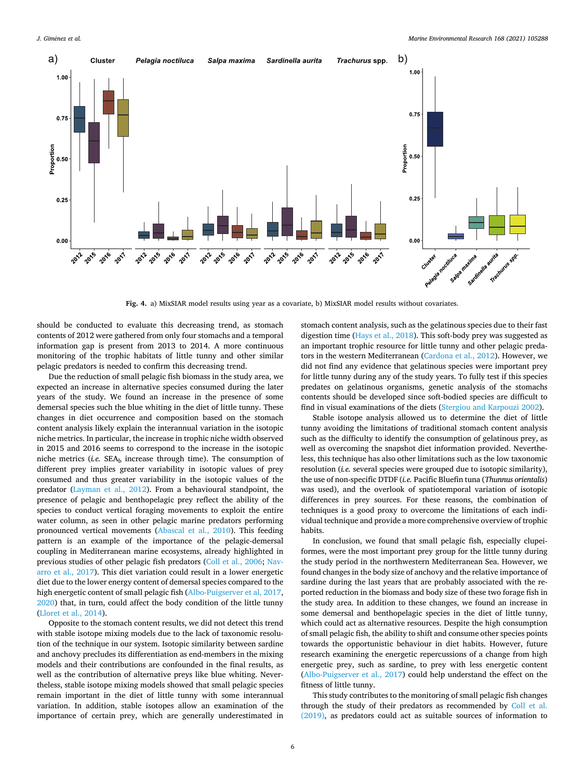<span id="page-5-0"></span>

**Fig. 4.** a) MixSIAR model results using year as a covariate, b) MixSIAR model results without covariates.

should be conducted to evaluate this decreasing trend, as stomach contents of 2012 were gathered from only four stomachs and a temporal information gap is present from 2013 to 2014. A more continuous monitoring of the trophic habitats of little tunny and other similar pelagic predators is needed to confirm this decreasing trend.

Due the reduction of small pelagic fish biomass in the study area, we expected an increase in alternative species consumed during the later years of the study. We found an increase in the presence of some demersal species such the blue whiting in the diet of little tunny. These changes in diet occurrence and composition based on the stomach content analysis likely explain the interannual variation in the isotopic niche metrics. In particular, the increase in trophic niche width observed in 2015 and 2016 seems to correspond to the increase in the isotopic niche metrics (*i.e.* SEAb increase through time). The consumption of different prey implies greater variability in isotopic values of prey consumed and thus greater variability in the isotopic values of the predator ([Layman et al., 2012](#page-7-0)). From a behavioural standpoint, the presence of pelagic and benthopelagic prey reflect the ability of the species to conduct vertical foraging movements to exploit the entire water column, as seen in other pelagic marine predators performing pronounced vertical movements ([Abascal et al., 2010\)](#page-6-0). This feeding pattern is an example of the importance of the pelagic-demersal coupling in Mediterranean marine ecosystems, already highlighted in previous studies of other pelagic fish predators [\(Coll et al., 2006](#page-6-0); [Nav](#page-7-0)[arro et al., 2017\)](#page-7-0). This diet variation could result in a lower energetic diet due to the lower energy content of demersal species compared to the high energetic content of small pelagic fish ([Albo-Puigserver et al, 2017](#page-7-0), [2020\)](#page-6-0) that, in turn, could affect the body condition of the little tunny ([Lloret et al., 2014\)](#page-7-0).

Opposite to the stomach content results, we did not detect this trend with stable isotope mixing models due to the lack of taxonomic resolution of the technique in our system. Isotopic similarity between sardine and anchovy precludes its differentiation as end-members in the mixing models and their contributions are confounded in the final results, as well as the contribution of alternative preys like blue whiting. Nevertheless, stable isotope mixing models showed that small pelagic species remain important in the diet of little tunny with some interannual variation. In addition, stable isotopes allow an examination of the importance of certain prey, which are generally underestimated in stomach content analysis, such as the gelatinous species due to their fast digestion time ([Hays et al., 2018](#page-6-0)). This soft-body prey was suggested as an important trophic resource for little tunny and other pelagic predators in the western Mediterranean ([Cardona et al., 2012\)](#page-6-0). However, we did not find any evidence that gelatinous species were important prey for little tunny during any of the study years. To fully test if this species predates on gelatinous organisms, genetic analysis of the stomachs contents should be developed since soft-bodied species are difficult to find in visual examinations of the diets ([Stergiou and Karpouzi 2002](#page-7-0)).

Stable isotope analysis allowed us to determine the diet of little tunny avoiding the limitations of traditional stomach content analysis such as the difficulty to identify the consumption of gelatinous prey, as well as overcoming the snapshot diet information provided. Nevertheless, this technique has also other limitations such as the low taxonomic resolution (*i.e.* several species were grouped due to isotopic similarity), the use of non-specific DTDF (*i.e.* Pacific Bluefin tuna (*Thunnus orientalis*) was used), and the overlook of spatiotemporal variation of isotopic differences in prey sources. For these reasons, the combination of techniques is a good proxy to overcome the limitations of each individual technique and provide a more comprehensive overview of trophic habits.

In conclusion, we found that small pelagic fish, especially clupeiformes, were the most important prey group for the little tunny during the study period in the northwestern Mediterranean Sea. However, we found changes in the body size of anchovy and the relative importance of sardine during the last years that are probably associated with the reported reduction in the biomass and body size of these two forage fish in the study area. In addition to these changes, we found an increase in some demersal and benthopelagic species in the diet of little tunny, which could act as alternative resources. Despite the high consumption of small pelagic fish, the ability to shift and consume other species points towards the opportunistic behaviour in diet habits. However, future research examining the energetic repercussions of a change from high energetic prey, such as sardine, to prey with less energetic content ([Albo-Puigserver et al., 2017\)](#page-6-0) could help understand the effect on the fitness of little tunny.

This study contributes to the monitoring of small pelagic fish changes through the study of their predators as recommended by [Coll et al.](#page-6-0)  [\(2019\),](#page-6-0) as predators could act as suitable sources of information to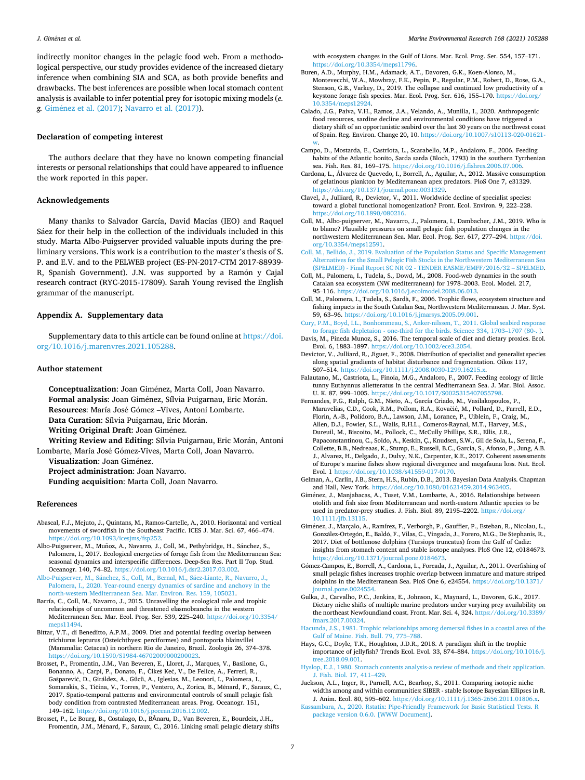<span id="page-6-0"></span>indirectly monitor changes in the pelagic food web. From a methodological perspective, our study provides evidence of the increased dietary inference when combining SIA and SCA, as both provide benefits and drawbacks. The best inferences are possible when local stomach content analysis is available to infer potential prey for isotopic mixing models (*e. g.* Gim´enez et al. (2017); [Navarro et al. \(2017\)\)](#page-7-0).

## **Declaration of competing interest**

The authors declare that they have no known competing financial interests or personal relationships that could have appeared to influence the work reported in this paper.

#### **Acknowledgements**

Many thanks to Salvador García, David Macías (IEO) and Raquel Sáez for their help in the collection of the individuals included in this study. Marta Albo-Puigserver provided valuable inputs during the preliminary versions. This work is a contribution to the master's thesis of S. P. and E.V. and to the PELWEB project (ES-PN-2017-CTM 2017-88939- R, Spanish Government). J.N. was supported by a Ramón y Cajal research contract (RYC-2015-17809). Sarah Young revised the English grammar of the manuscript.

## **Appendix A. Supplementary data**

Supplementary data to this article can be found online at [https://doi.](https://doi.org/10.1016/j.marenvres.2021.105288)  [org/10.1016/j.marenvres.2021.105288.](https://doi.org/10.1016/j.marenvres.2021.105288)

#### **Author statement**

**Conceptualization**: Joan Giménez, Marta Coll, Joan Navarro. Formal analysis: Joan Giménez, Sílvia Puigarnau, Eric Morán. Resources: María José Gómez - Vives, Antoni Lombarte. Data Curation: Sílvia Puigarnau, Eric Morán. **Writing Original Draft: Joan Giménez.** 

Writing Review and Editing: Sílvia Puigarnau, Eric Morán, Antoni Lombarte, María José Gómez-Vives, Marta Coll, Joan Navarro.

**Visualization: Joan Giménez.** 

**Project administration**: Joan Navarro.

**Funding acquisition**: Marta Coll, Joan Navarro.

#### **References**

- Abascal, F.J., Mejuto, J., Quintans, M., Ramos-Cartelle, A., 2010. Horizontal and vertical movements of swordfish in the Southeast Pacific. ICES J. Mar. Sci. 67, 466–474. [https://doi.org/10.1093/icesjms/fsp252.](https://doi.org/10.1093/icesjms/fsp252)
- Albo-Puigserver, M., Muñoz, A., Navarro, J., Coll, M., Pethybridge, H., Sánchez, S., Palomera, I., 2017. Ecological energetics of forage fish from the Mediterranean Sea: seasonal dynamics and interspecific differences. Deep-Sea Res. Part II Top. Stud. Oceanogr. 140, 74–82. [https://doi.org/10.1016/j.dsr2.2017.03.002.](https://doi.org/10.1016/j.dsr2.2017.03.002)
- Albo-Puigserver, M., Sánchez, S., Coll, M., Bernal, M., Sáez-Liante, R., Navarro, J., [Palomera, I., 2020. Year-round energy dynamics of sardine and anchovy in the](http://refhub.elsevier.com/S0141-1136(21)00037-4/sref3) [north-western Mediterranean Sea. Mar. Environ. Res. 159, 105021.](http://refhub.elsevier.com/S0141-1136(21)00037-4/sref3)
- Barría, C., Coll, M., Navarro, J., 2015. Unravelling the ecological role and trophic relationships of uncommon and threatened elasmobranchs in the western Mediterranean Sea. Mar. Ecol. Prog. Ser. 539, 225–240. [https://doi.org/10.3354/](https://doi.org/10.3354/meps11494)  [meps11494](https://doi.org/10.3354/meps11494).
- Bittar, V.T., di Beneditto, A.P.M., 2009. Diet and potential feeding overlap between trichiurus lepturus (Osteichthyes: perciformes) and pontoporia blainvillei (Mammalia: Cetacea) in northern Rio de Janeiro, Brazil. Zoologia 26, 374–378. <https://doi.org/10.1590/S1984-46702009000200023>.
- Brosset, P., Fromentin, J.M., Van Beveren, E., Lloret, J., Marques, V., Basilone, G., Bonanno, A., Carpi, P., Donato, F., Čikeš Keč, V., De Felice, A., Ferreri, R., Gašparević, D., Giráldez, A., Gücü, A., Iglesias, M., Leonori, I., Palomera, I., Somarakis, S., Tičina, V., Torres, P., Ventero, A., Zorica, B., Ménard, F., Saraux, C., 2017. Spatio-temporal patterns and environmental controls of small pelagic fish body condition from contrasted Mediterranean areas. Prog. Oceanogr. 151, 149–162. <https://doi.org/10.1016/j.pocean.2016.12.002>.
- Brosset, P., Le Bourg, B., Costalago, D., BǍnaru, D., Van Beveren, E., Bourdeix, J.H., Fromentin, J.M., Ménard, F., Saraux, C., 2016. Linking small pelagic dietary shifts

with ecosystem changes in the Gulf of Lions. Mar. Ecol. Prog. Ser. 554, 157–171. [https://doi.org/10.3354/meps11796.](https://doi.org/10.3354/meps11796)

- Buren, A.D., Murphy, H.M., Adamack, A.T., Davoren, G.K., Koen-Alonso, M., Montevecchi, W.A., Mowbray, F.K., Pepin, P., Regular, P.M., Robert, D., Rose, G.A., Stenson, G.B., Varkey, D., 2019. The collapse and continued low productivity of a keystone forage fish species. Mar. Ecol. Prog. Ser. 616, 155–170. [https://doi.org/](https://doi.org/10.3354/meps12924)
- [10.3354/meps12924.](https://doi.org/10.3354/meps12924) Calado, J.G., Paiva, V.H., Ramos, J.A., Velando, A., Munilla, I., 2020. Anthropogenic food resources, sardine decline and environmental conditions have triggered a dietary shift of an opportunistic seabird over the last 30 years on the northwest coast of Spain. Reg. Environ. Change 20, 10. [https://doi.org/10.1007/s10113-020-01621-](https://doi.org/10.1007/s10113-020-01621-w)
- [w.](https://doi.org/10.1007/s10113-020-01621-w) Campo, D., Mostarda, E., Castriota, L., Scarabello, M.P., Andaloro, F., 2006. Feeding habits of the Atlantic bonito, Sarda sarda (Bloch, 1793) in the southern Tyrrhenian sea. Fish. Res. 81, 169–175. [https://doi.org/10.1016/j.fishres.2006.07.006.](https://doi.org/10.1016/j.fishres.2006.07.006)
- Cardona, L., Álvarez de Quevedo, I., Borrell, A., Aguilar, A., 2012. Massive consumption of gelatinous plankton by Mediterranean apex predators. PloS One 7, e31329. <https://doi.org/10.1371/journal.pone.0031329>.
- Clavel, J., Julliard, R., Devictor, V., 2011. Worldwide decline of specialist species: toward a global functional homogenization? Front. Ecol. Environ. 9, 222–228. [https://doi.org/10.1890/080216.](https://doi.org/10.1890/080216)
- Coll, M., Albo-puigserver, M., Navarro, J., Palomera, I., Dambacher, J.M., 2019. Who is to blame? Plausible pressures on small pelagic fish population changes in the northwestern Mediterranean Sea. Mar. Ecol. Prog. Ser. 617, 277–294. [https://doi.](https://doi.org/10.3354/meps12591) [org/10.3354/meps12591](https://doi.org/10.3354/meps12591).
- [Coll, M., Bellido, J., 2019. Evaluation of the Population Status and Specific Management](http://refhub.elsevier.com/S0141-1136(21)00037-4/sref14)  [Alternatives for the Small Pelagic Fish Stocks in the Northwestern Mediterranean Sea](http://refhub.elsevier.com/S0141-1136(21)00037-4/sref14)  [\(SPELMED\) - Final Report SC NR 02 - TENDER EASME/EMFF/2016/32](http://refhub.elsevier.com/S0141-1136(21)00037-4/sref14) – SPELMED.
- Coll, M., Palomera, I., Tudela, S., Dowd, M., 2008. Food-web dynamics in the south Catalan sea ecosystem (NW mediterranean) for 1978–2003. Ecol. Model. 217, 95–116. [https://doi.org/10.1016/j.ecolmodel.2008.06.013.](https://doi.org/10.1016/j.ecolmodel.2008.06.013)
- Coll, M., Palomera, I., Tudela, S., Sardà, F., 2006. Trophic flows, ecosystem structure and fishing impacts in the South Catalan Sea, Northwestern Mediterranean. J. Mar. Syst. 59, 63–96. [https://doi.org/10.1016/j.jmarsys.2005.09.001.](https://doi.org/10.1016/j.jmarsys.2005.09.001)
- [Cury, P.M., Boyd, I.L., Bonhommeau, S., Anker-nilssen, T., 2011. Global seabird response](http://refhub.elsevier.com/S0141-1136(21)00037-4/sref17)  [to forage fish depletaion - one-third for the birds. Science 334, 1703](http://refhub.elsevier.com/S0141-1136(21)00037-4/sref17)–1707 (80-. ).
- Davis, M., Pineda Munoz, S., 2016. The temporal scale of diet and dietary proxies. Ecol. Evol. 6, 1883–1897. [https://doi.org/10.1002/ece3.2054.](https://doi.org/10.1002/ece3.2054)
- Devictor, V., Julliard, R., Jiguet, F., 2008. Distribution of specialist and generalist species along spatial gradients of habitat disturbance and fragmentation. Oikos 117, 507–514. <https://doi.org/10.1111/j.2008.0030-1299.16215.x>.
- Falautano, M., Castriota, L., Finoia, M.G., Andaloro, F., 2007. Feeding ecology of little tunny Euthynnus alletteratus in the central Mediterranean Sea. J. Mar. Biol. Assoc. U. K. 87, 999–1005. [https://doi.org/10.1017/S0025315407055798.](https://doi.org/10.1017/S0025315407055798)
- Fernandes, P.G., Ralph, G.M., Nieto, A., García Criado, M., Vasilakopoulos, P., Maravelias, C.D., Cook, R.M., Pollom, R.A., Kovačić, M., Pollard, D., Farrell, E.D., Florin, A.-B., Polidoro, B.A., Lawson, J.M., Lorance, P., Uiblein, F., Craig, M., Allen, D.J., Fowler, S.L., Walls, R.H.L., Comeros-Raynal, M.T., Harvey, M.S., Dureuil, M., Biscoito, M., Pollock, C., McCully Phillips, S.R., Ellis, J.R., Papaconstantinou, C., Soldo, A., Keskin, Ç., Knudsen, S.W., Gil de Sola, L., Serena, F., Collette, B.B., Nedreaas, K., Stump, E., Russell, B.C., Garcia, S., Afonso, P., Jung, A.B. J., Alvarez, H., Delgado, J., Dulvy, N.K., Carpenter, K.E., 2017. Coherent assessments of Europe's marine fishes show regional divergence and megafauna loss. Nat. Ecol. Evol. 1 <https://doi.org/10.1038/s41559-017-0170>.
- Gelman, A., Carlin, J.B., Stern, H.S., Rubin, D.B., 2013. Bayesian Data Analysis. Chapman and Hall, New York. [https://doi.org/10.1080/01621459.2014.963405.](https://doi.org/10.1080/01621459.2014.963405)
- Giménez, J., Manjabacas, A., Tuset, V.M., Lombarte, A., 2016. Relationships between otolith and fish size from Mediterranean and north-eastern Atlantic species to be used in predator-prey studies. J. Fish. Biol. 89, 2195–2202. [https://doi.org/](https://doi.org/10.1111/jfb.13115) [10.1111/jfb.13115](https://doi.org/10.1111/jfb.13115).
- Gim´enez, J., Marçalo, A., Ramírez, F., Verborgh, P., Gauffier, P., Esteban, R., Nicolau, L., González-Ortegón, E., Baldó, F., Vilas, C., Vingada, J., Forero, M.G., De Stephanis, R., 2017. Diet of bottlenose dolphins (Tursiops truncatus) from the Gulf of Cadiz: insights from stomach content and stable isotope analyses. PloS One 12, e0184673. <https://doi.org/10.1371/journal.pone.0184673>.
- Gómez-Campos, E., Borrell, A., Cardona, L., Forcada, J., Aguilar, A., 2011. Overfishing of small pelagic fishes increases trophic overlap between immature and mature striped dolphins in the Mediterranean Sea. PloS One 6, e24554. https://doi.org/10.13 urnal.pone.0024554
- Gulka, J., Carvalho, P.C., Jenkins, E., Johnson, K., Maynard, L., Davoren, G.K., 2017. Dietary niche shifts of multiple marine predators under varying prey availability on the northeast Newfoundland coast. Front. Mar. Sci. 4, 324. https://doi.org/10.33 [fmars.2017.00324](https://doi.org/10.3389/fmars.2017.00324).
- [Hacunda, J.S., 1981. Trophic relationships among demersal fishes in a coastal area of the](http://refhub.elsevier.com/S0141-1136(21)00037-4/sref27)  [Gulf of Maine. Fish. Bull. 79, 775](http://refhub.elsevier.com/S0141-1136(21)00037-4/sref27)–788.
- Hays, G.C., Doyle, T.K., Houghton, J.D.R., 2018. A paradigm shift in the trophic importance of jellyfish? Trends Ecol. Evol. 33, 874–884. [https://doi.org/10.1016/j.](https://doi.org/10.1016/j.tree.2018.09.001)  [tree.2018.09.001](https://doi.org/10.1016/j.tree.2018.09.001).
- [Hyslop, E.J., 1980. Stomach contents analysis-a review of methods and their application.](http://refhub.elsevier.com/S0141-1136(21)00037-4/sref29)  [J. Fish. Biol. 17, 411](http://refhub.elsevier.com/S0141-1136(21)00037-4/sref29)–429.
- Jackson, A.L., Inger, R., Parnell, A.C., Bearhop, S., 2011. Comparing isotopic niche widths among and within communities: SIBER - stable Isotope Bayesian Ellipses in R. J. Anim. Ecol. 80, 595–602. [https://doi.org/10.1111/j.1365-2656.2011.01806.x.](https://doi.org/10.1111/j.1365-2656.2011.01806.x)
- [Kassambara, A., 2020. Rstatix: Pipe-Friendly Framework for Basic Statistical Tests. R](http://refhub.elsevier.com/S0141-1136(21)00037-4/sref31)  [package version 0.6.0. \[WWW Document\].](http://refhub.elsevier.com/S0141-1136(21)00037-4/sref31)